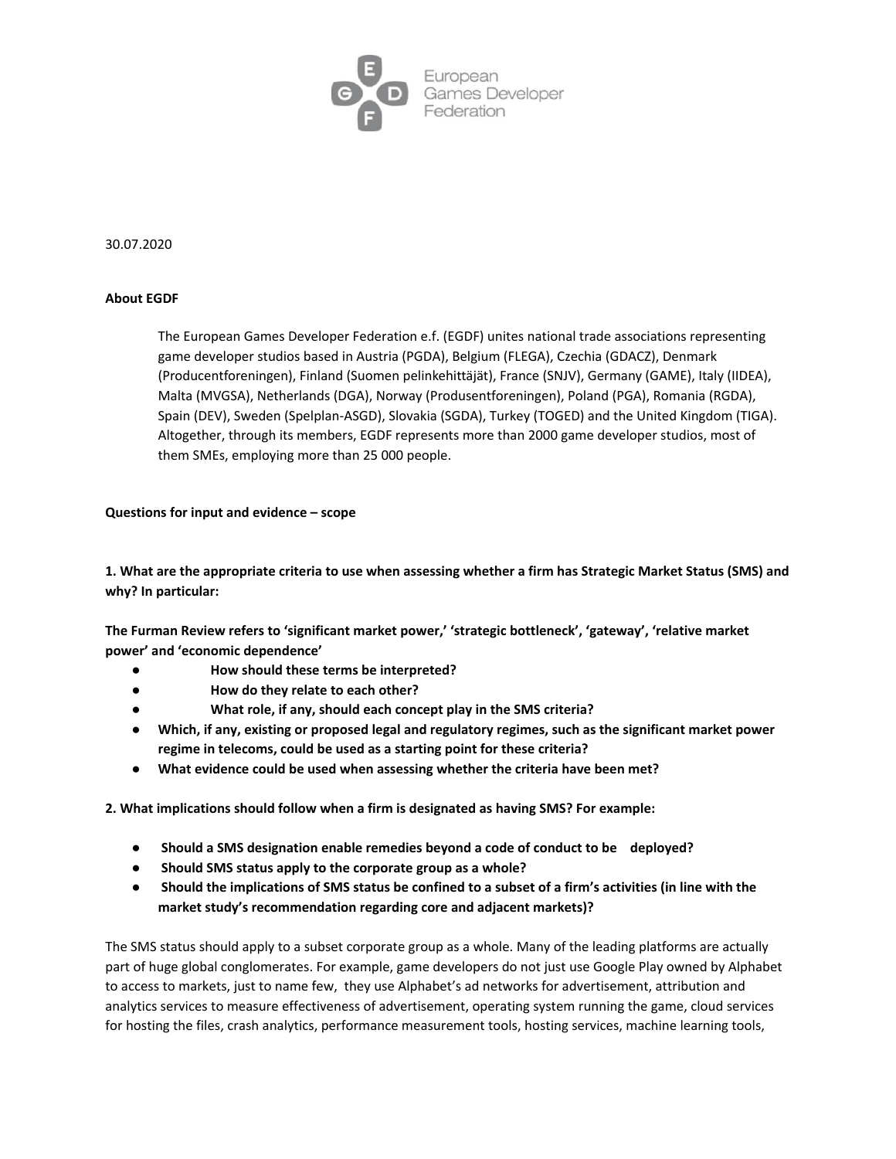

#### 30.07.2020

#### **About EGDF**

The European Games Developer Federation e.f. (EGDF) unites national trade associations representing game developer studios based in Austria (PGDA), Belgium (FLEGA), Czechia (GDACZ), Denmark (Producentforeningen), Finland (Suomen pelinkehittäjät), France (SNJV), Germany (GAME), Italy (IIDEA), Malta (MVGSA), Netherlands (DGA), Norway (Produsentforeningen), Poland (PGA), Romania (RGDA), Spain (DEV), Sweden (Spelplan-ASGD), Slovakia (SGDA), Turkey (TOGED) and the United Kingdom (TIGA). Altogether, through its members, EGDF represents more than 2000 game developer studios, most of them SMEs, employing more than 25 000 people.

#### **Questions for input and evidence – scope**

**1. What are the appropriate criteria to use when assessing whether a firm has Strategic Market Status (SMS) and why? In particular:**

**The Furman Review refers to 'significant market power,' 'strategic bottleneck', 'gateway', 'relative market power' and 'economic dependence'**

- **● How should these terms be interpreted?**
- **● How do they relate to each other?**
- **● What role, if any, should each concept play in the SMS criteria?**
- **● Which, if any, existing or proposed legal and regulatory regimes, such as the significant market power regime in telecoms, could be used as a starting point for these criteria?**
- **● What evidence could be used when assessing whether the criteria have been met?**

**2. What implications should follow when a firm is designated as having SMS? For example:**

- **● Should a SMS designation enable remedies beyond a code of conduct to be deployed?**
- **● Should SMS status apply to the corporate group as a whole?**
- **● Should the implications of SMS status be confined to a subset of a firm's activities (in line with the market study's recommendation regarding core and adjacent markets)?**

The SMS status should apply to a subset corporate group as a whole. Many of the leading platforms are actually part of huge global conglomerates. For example, game developers do not just use Google Play owned by Alphabet to access to markets, just to name few, they use Alphabet's ad networks for advertisement, attribution and analytics services to measure effectiveness of advertisement, operating system running the game, cloud services for hosting the files, crash analytics, performance measurement tools, hosting services, machine learning tools,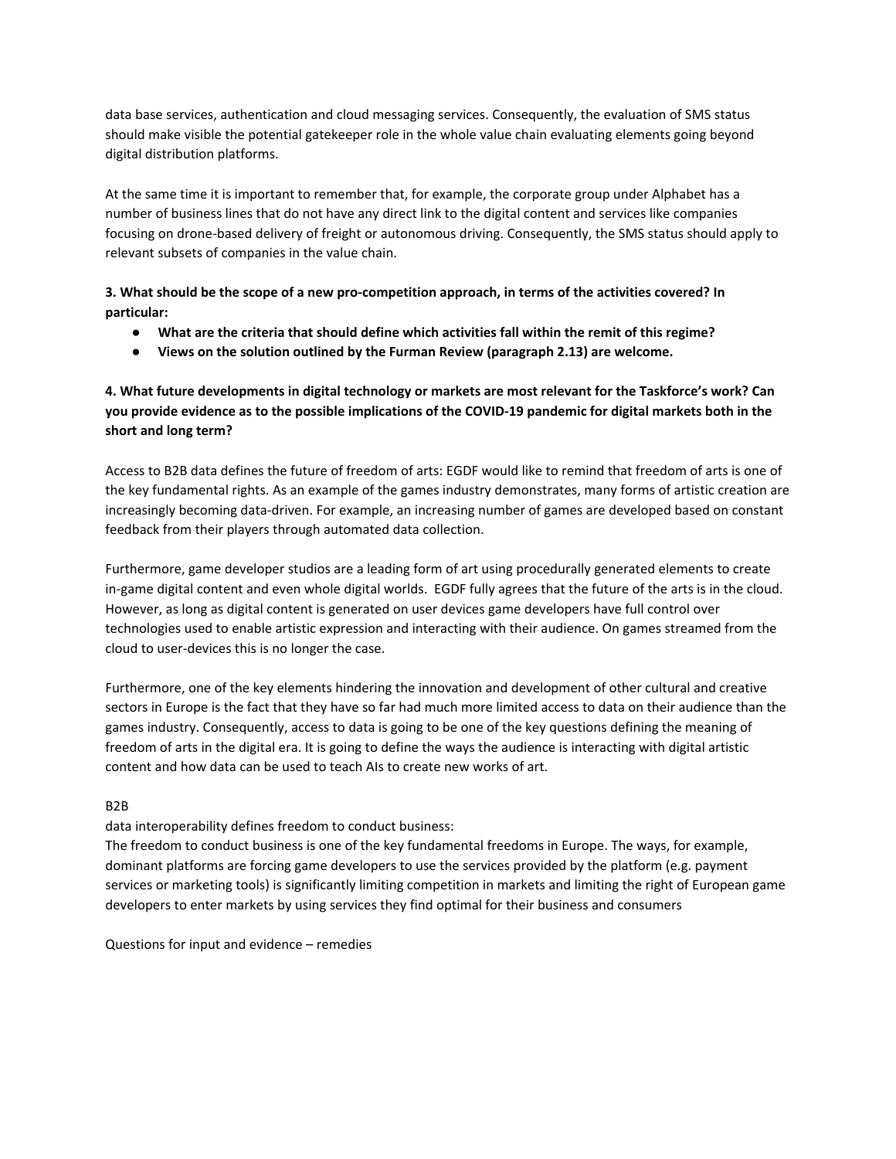data base services, authentication and cloud messaging services. Consequently, the evaluation of SMS status should make visible the potential gatekeeper role in the whole value chain evaluating elements going beyond digital distribution platforms.

At the same time it is important to remember that, for example, the corporate group under Alphabet has a number of business lines that do not have any direct link to the digital content and services like companies focusing on drone-based delivery of freight or autonomous driving. Consequently, the SMS status should apply to relevant subsets of companies in the value chain.

## **3. What should be the scope of a new pro-competition approach, in terms of the activities covered? In particular:**

- **● What are the criteria that should define which activities fall within the remit of this regime?**
- **● Views on the solution outlined by the Furman Review (paragraph 2.13) are welcome.**

# **4. What future developments in digital technology or markets are most relevant for the Taskforce's work? Can you provide evidence as to the possible implications of the COVID-19 pandemic for digital markets both in the short and long term?**

Access to B2B data defines the future of freedom of arts: EGDF would like to remind that freedom of arts is one of the key fundamental rights. As an example of the games industry demonstrates, many forms of artistic creation are increasingly becoming data-driven. For example, an increasing number of games are developed based on constant feedback from their players through automated data collection.

Furthermore, game developer studios are a leading form of art using procedurally generated elements to create in-game digital content and even whole digital worlds. EGDF fully agrees that the future of the arts is in the cloud. However, as long as digital content is generated on user devices game developers have full control over technologies used to enable artistic expression and interacting with their audience. On games streamed from the cloud to user-devices this is no longer the case.

Furthermore, one of the key elements hindering the innovation and development of other cultural and creative sectors in Europe is the fact that they have so far had much more limited access to data on their audience than the games industry. Consequently, access to data is going to be one of the key questions defining the meaning of freedom of arts in the digital era. It is going to define the ways the audience is interacting with digital artistic content and how data can be used to teach AIs to create new works of art.

#### B2B

# data interoperability defines freedom to conduct business:

The freedom to conduct business is one of the key fundamental freedoms in Europe. The ways, for example, dominant platforms are forcing game developers to use the services provided by the platform (e.g. payment services or marketing tools) is significantly limiting competition in markets and limiting the right of European game developers to enter markets by using services they find optimal for their business and consumers

Questions for input and evidence – remedies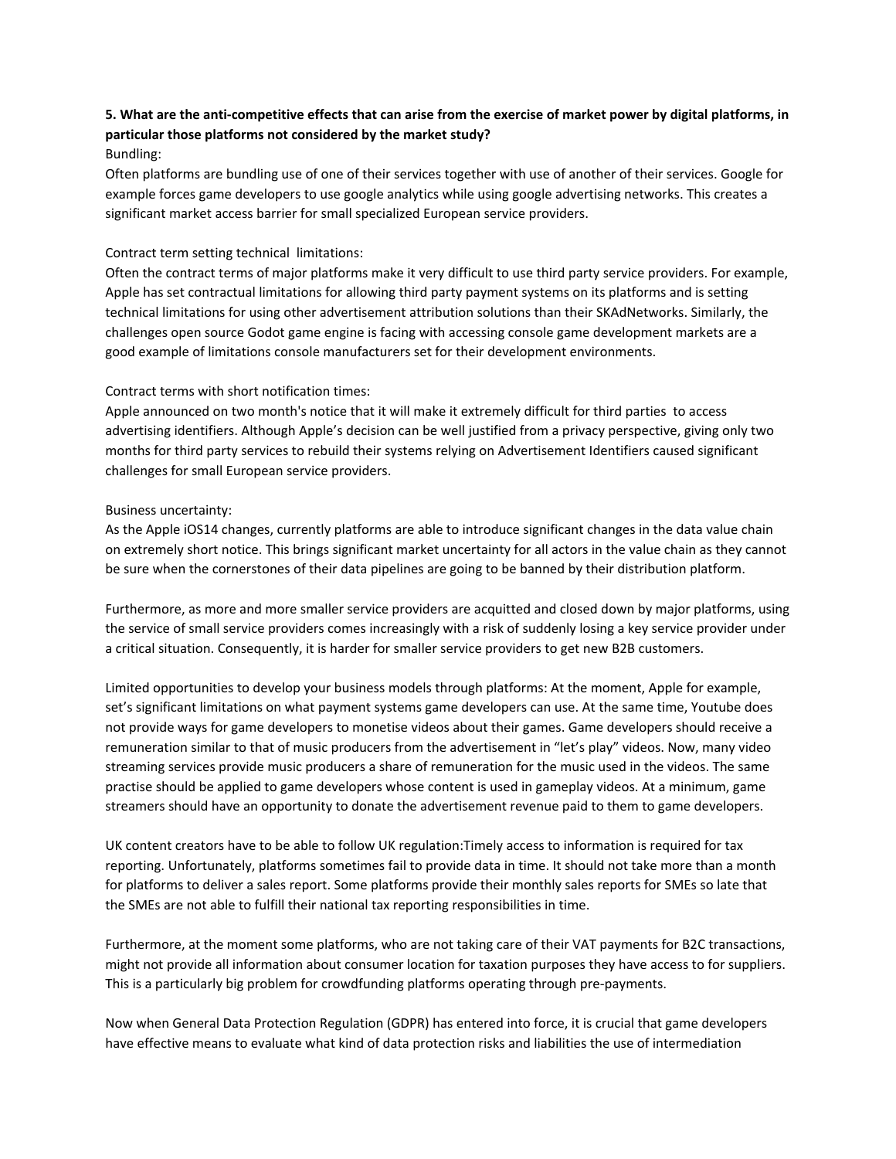# **5. What are the anti-competitive effects that can arise from the exercise of market power by digital platforms, in particular those platforms not considered by the market study?**

#### Bundling:

Often platforms are bundling use of one of their services together with use of another of their services. Google for example forces game developers to use google analytics while using google advertising networks. This creates a significant market access barrier for small specialized European service providers.

#### Contract term setting technical limitations:

Often the contract terms of major platforms make it very difficult to use third party service providers. For example, Apple has set contractual limitations for allowing third party payment systems on its platforms and is setting technical limitations for using other advertisement attribution solutions than their SKAdNetworks. Similarly, the challenges open source Godot game engine is facing with accessing console game development markets are a good example of limitations console manufacturers set for their development environments.

## Contract terms with short notification times:

Apple announced on two month's notice that it will make it extremely difficult for third parties to access advertising identifiers. Although Apple's decision can be well justified from a privacy perspective, giving only two months for third party services to rebuild their systems relying on Advertisement Identifiers caused significant challenges for small European service providers.

## Business uncertainty:

As the Apple iOS14 changes, currently platforms are able to introduce significant changes in the data value chain on extremely short notice. This brings significant market uncertainty for all actors in the value chain as they cannot be sure when the cornerstones of their data pipelines are going to be banned by their distribution platform.

Furthermore, as more and more smaller service providers are acquitted and closed down by major platforms, using the service of small service providers comes increasingly with a risk of suddenly losing a key service provider under a critical situation. Consequently, it is harder for smaller service providers to get new B2B customers.

Limited opportunities to develop your business models through platforms: At the moment, Apple for example, set's significant limitations on what payment systems game developers can use. At the same time, Youtube does not provide ways for game developers to monetise videos about their games. Game developers should receive a remuneration similar to that of music producers from the advertisement in "let's play" videos. Now, many video streaming services provide music producers a share of remuneration for the music used in the videos. The same practise should be applied to game developers whose content is used in gameplay videos. At a minimum, game streamers should have an opportunity to donate the advertisement revenue paid to them to game developers.

UK content creators have to be able to follow UK regulation:Timely access to information is required for tax reporting. Unfortunately, platforms sometimes fail to provide data in time. It should not take more than a month for platforms to deliver a sales report. Some platforms provide their monthly sales reports for SMEs so late that the SMEs are not able to fulfill their national tax reporting responsibilities in time.

Furthermore, at the moment some platforms, who are not taking care of their VAT payments for B2C transactions, might not provide all information about consumer location for taxation purposes they have access to for suppliers. This is a particularly big problem for crowdfunding platforms operating through pre-payments.

Now when General Data Protection Regulation (GDPR) has entered into force, it is crucial that game developers have effective means to evaluate what kind of data protection risks and liabilities the use of intermediation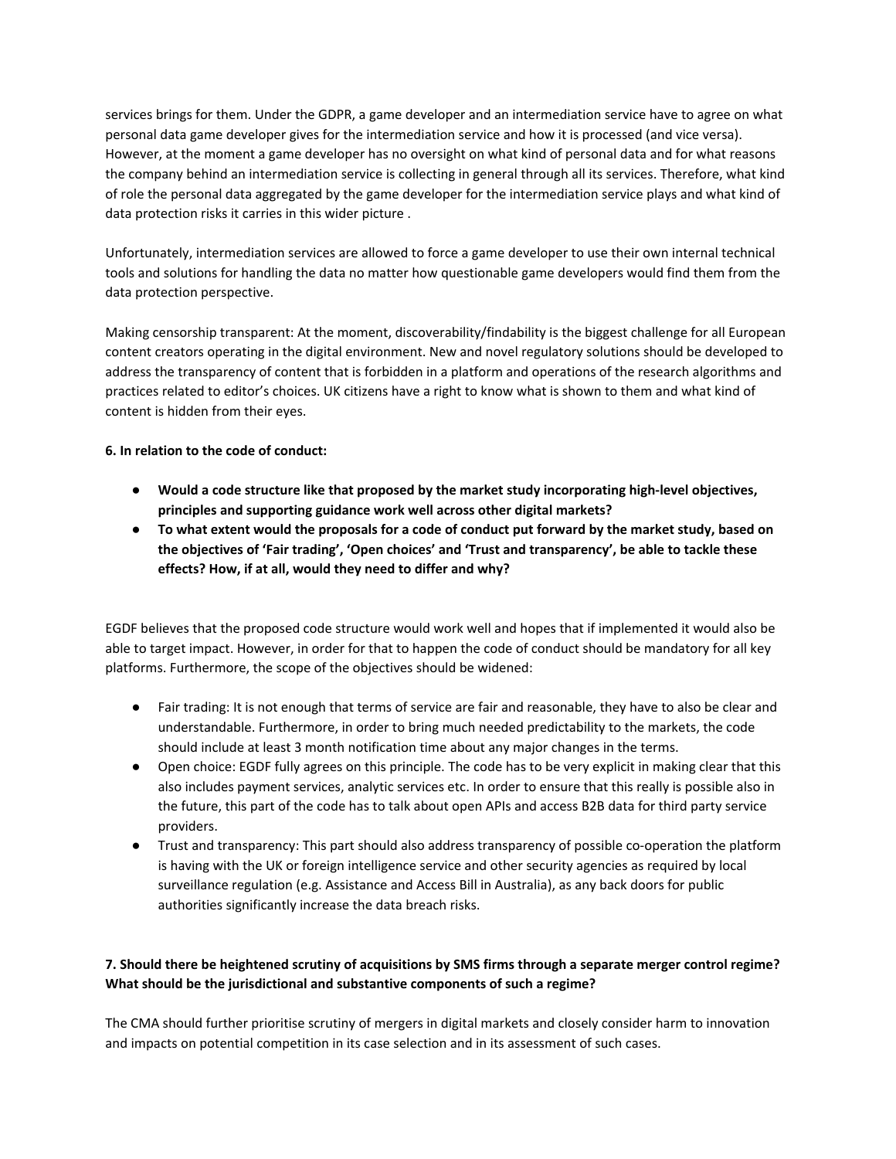services brings for them. Under the GDPR, a game developer and an intermediation service have to agree on what personal data game developer gives for the intermediation service and how it is processed (and vice versa). However, at the moment a game developer has no oversight on what kind of personal data and for what reasons the company behind an intermediation service is collecting in general through all its services. Therefore, what kind of role the personal data aggregated by the game developer for the intermediation service plays and what kind of data protection risks it carries in this wider picture .

Unfortunately, intermediation services are allowed to force a game developer to use their own internal technical tools and solutions for handling the data no matter how questionable game developers would find them from the data protection perspective.

Making censorship transparent: At the moment, discoverability/findability is the biggest challenge for all European content creators operating in the digital environment. New and novel regulatory solutions should be developed to address the transparency of content that is forbidden in a platform and operations of the research algorithms and practices related to editor's choices. UK citizens have a right to know what is shown to them and what kind of content is hidden from their eyes.

## **6. In relation to the code of conduct:**

- **● Would a code structure like that proposed by the market study incorporating high-level objectives, principles and supporting guidance work well across other digital markets?**
- **● To what extent would the proposals for a code of conduct put forward by the market study, based on the objectives of 'Fair trading', 'Open choices' and 'Trust and transparency', be able to tackle these effects? How, if at all, would they need to differ and why?**

EGDF believes that the proposed code structure would work well and hopes that if implemented it would also be able to target impact. However, in order for that to happen the code of conduct should be mandatory for all key platforms. Furthermore, the scope of the objectives should be widened:

- Fair trading: It is not enough that terms of service are fair and reasonable, they have to also be clear and understandable. Furthermore, in order to bring much needed predictability to the markets, the code should include at least 3 month notification time about any major changes in the terms.
- Open choice: EGDF fully agrees on this principle. The code has to be very explicit in making clear that this also includes payment services, analytic services etc. In order to ensure that this really is possible also in the future, this part of the code has to talk about open APIs and access B2B data for third party service providers.
- Trust and transparency: This part should also address transparency of possible co-operation the platform is having with the UK or foreign intelligence service and other security agencies as required by local surveillance regulation (e.g. Assistance and Access Bill in Australia), as any back doors for public authorities significantly increase the data breach risks.

# **7. Should there be heightened scrutiny of acquisitions by SMS firms through a separate merger control regime? What should be the jurisdictional and substantive components of such a regime?**

The CMA should further prioritise scrutiny of mergers in digital markets and closely consider harm to innovation and impacts on potential competition in its case selection and in its assessment of such cases.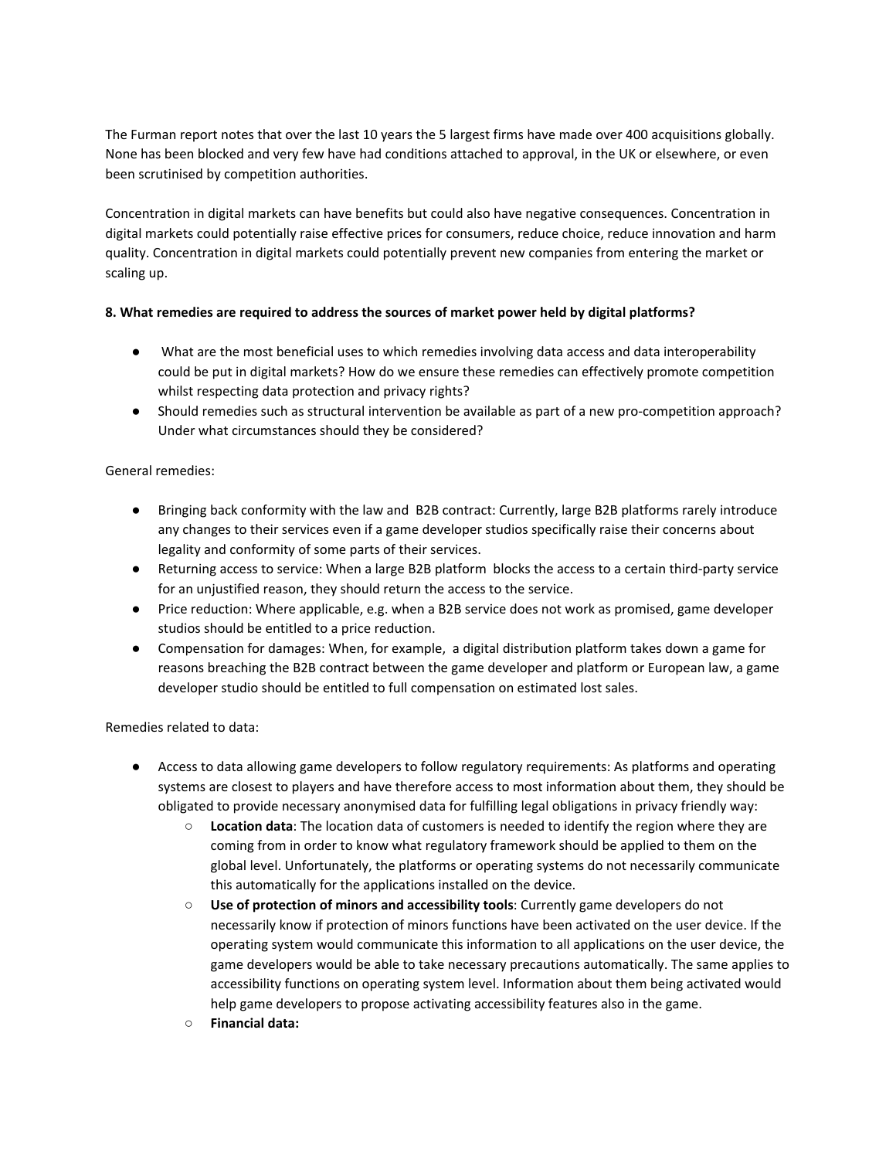The Furman report notes that over the last 10 years the 5 largest firms have made over 400 acquisitions globally. None has been blocked and very few have had conditions attached to approval, in the UK or elsewhere, or even been scrutinised by competition authorities.

Concentration in digital markets can have benefits but could also have negative consequences. Concentration in digital markets could potentially raise effective prices for consumers, reduce choice, reduce innovation and harm quality. Concentration in digital markets could potentially prevent new companies from entering the market or scaling up.

## **8. What remedies are required to address the sources of market power held by digital platforms?**

- What are the most beneficial uses to which remedies involving data access and data interoperability could be put in digital markets? How do we ensure these remedies can effectively promote competition whilst respecting data protection and privacy rights?
- Should remedies such as structural intervention be available as part of a new pro-competition approach? Under what circumstances should they be considered?

## General remedies:

- Bringing back conformity with the law and B2B contract: Currently, large B2B platforms rarely introduce any changes to their services even if a game developer studios specifically raise their concerns about legality and conformity of some parts of their services.
- Returning access to service: When a large B2B platform blocks the access to a certain third-party service for an unjustified reason, they should return the access to the service.
- Price reduction: Where applicable, e.g. when a B2B service does not work as promised, game developer studios should be entitled to a price reduction.
- Compensation for damages: When, for example, a digital distribution platform takes down a game for reasons breaching the B2B contract between the game developer and platform or European law, a game developer studio should be entitled to full compensation on estimated lost sales.

Remedies related to data:

- Access to data allowing game developers to follow regulatory requirements: As platforms and operating systems are closest to players and have therefore access to most information about them, they should be obligated to provide necessary anonymised data for fulfilling legal obligations in privacy friendly way:
	- **Location data**: The location data of customers is needed to identify the region where they are coming from in order to know what regulatory framework should be applied to them on the global level. Unfortunately, the platforms or operating systems do not necessarily communicate this automatically for the applications installed on the device.
	- **Use of protection of minors and accessibility tools**: Currently game developers do not necessarily know if protection of minors functions have been activated on the user device. If the operating system would communicate this information to all applications on the user device, the game developers would be able to take necessary precautions automatically. The same applies to accessibility functions on operating system level. Information about them being activated would help game developers to propose activating accessibility features also in the game.
	- **○ Financial data:**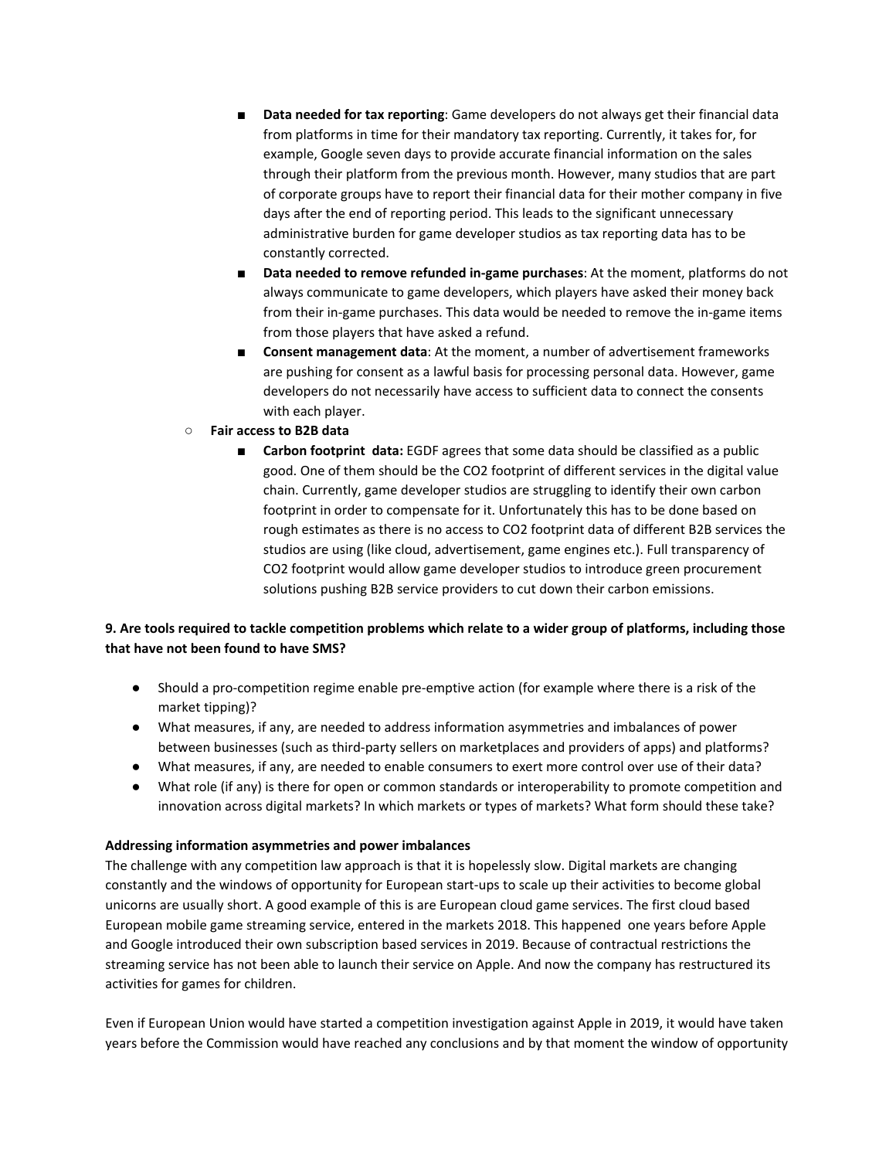- **Data needed for tax reporting**: Game developers do not always get their financial data from platforms in time for their mandatory tax reporting. Currently, it takes for, for example, Google seven days to provide accurate financial information on the sales through their platform from the previous month. However, many studios that are part of corporate groups have to report their financial data for their mother company in five days after the end of reporting period. This leads to the significant unnecessary administrative burden for game developer studios as tax reporting data has to be constantly corrected.
- Data needed to remove refunded in-game purchases: At the moment, platforms do not always communicate to game developers, which players have asked their money back from their in-game purchases. This data would be needed to remove the in-game items from those players that have asked a refund.
- **Consent management data**: At the moment, a number of advertisement frameworks are pushing for consent as a lawful basis for processing personal data. However, game developers do not necessarily have access to sufficient data to connect the consents with each player.
- **○ Fair access to B2B data**
	- **Carbon footprint data:** EGDF agrees that some data should be classified as a public good. One of them should be the CO2 footprint of different services in the digital value chain. Currently, game developer studios are struggling to identify their own carbon footprint in order to compensate for it. Unfortunately this has to be done based on rough estimates as there is no access to CO2 footprint data of different B2B services the studios are using (like cloud, advertisement, game engines etc.). Full transparency of CO2 footprint would allow game developer studios to introduce green procurement solutions pushing B2B service providers to cut down their carbon emissions.

# **9. Are tools required to tackle competition problems which relate to a wider group of platforms, including those that have not been found to have SMS?**

- Should a pro-competition regime enable pre-emptive action (for example where there is a risk of the market tipping)?
- What measures, if any, are needed to address information asymmetries and imbalances of power between businesses (such as third-party sellers on marketplaces and providers of apps) and platforms?
- What measures, if any, are needed to enable consumers to exert more control over use of their data?
- What role (if any) is there for open or common standards or interoperability to promote competition and innovation across digital markets? In which markets or types of markets? What form should these take?

#### **Addressing information asymmetries and power imbalances**

The challenge with any competition law approach is that it is hopelessly slow. Digital markets are changing constantly and the windows of opportunity for European start-ups to scale up their activities to become global unicorns are usually short. A good example of this is are European cloud game services. The first cloud based European mobile game streaming service, entered in the markets 2018. This happened one years before Apple and Google introduced their own subscription based services in 2019. Because of contractual restrictions the streaming service has not been able to launch their service on Apple. And now the company has restructured its activities for games for children.

Even if European Union would have started a competition investigation against Apple in 2019, it would have taken years before the Commission would have reached any conclusions and by that moment the window of opportunity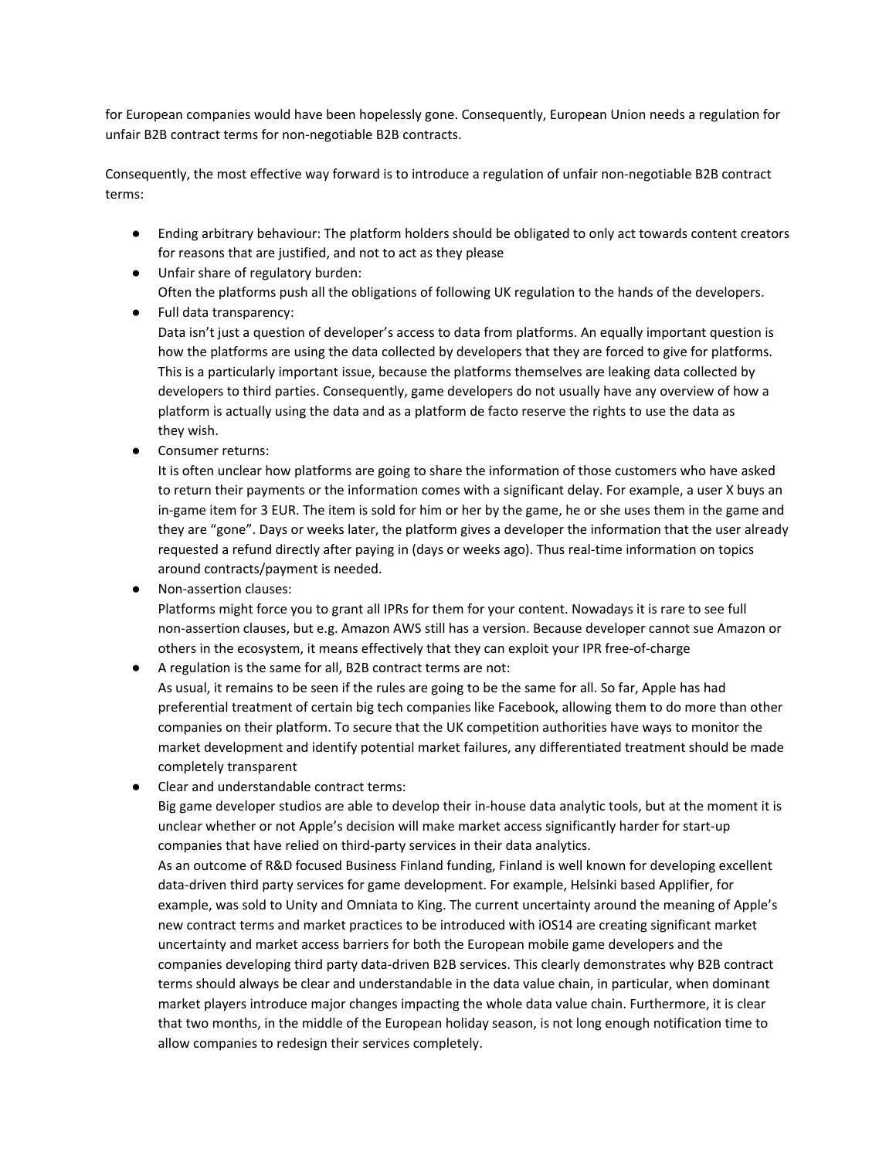for European companies would have been hopelessly gone. Consequently, European Union needs a regulation for unfair B2B contract terms for non-negotiable B2B contracts.

Consequently, the most effective way forward is to introduce a regulation of unfair non-negotiable B2B contract terms:

- Ending arbitrary behaviour: The platform holders should be obligated to only act towards content creators for reasons that are justified, and not to act as they please
- Unfair share of regulatory burden: Often the platforms push all the obligations of following UK regulation to the hands of the developers.
- Full data transparency: Data isn't just a question of developer's access to data from platforms. An equally important question is how the platforms are using the data collected by developers that they are forced to give for platforms. This is a particularly important issue, because the platforms themselves are leaking data collected by developers to third parties. Consequently, game developers do not usually have any overview of how a platform is actually using the data and as a platform de facto reserve the rights to use the data as they wish.
- Consumer returns:

It is often unclear how platforms are going to share the information of those customers who have asked to return their payments or the information comes with a significant delay. For example, a user X buys an in-game item for 3 EUR. The item is sold for him or her by the game, he or she uses them in the game and they are "gone". Days or weeks later, the platform gives a developer the information that the user already requested a refund directly after paying in (days or weeks ago). Thus real-time information on topics around contracts/payment is needed.

Non-assertion clauses:

Platforms might force you to grant all IPRs for them for your content. Nowadays it is rare to see full non-assertion clauses, but e.g. Amazon AWS still has a version. Because developer cannot sue Amazon or others in the ecosystem, it means effectively that they can exploit your IPR free-of-charge

● A regulation is the same for all, B2B contract terms are not:

As usual, it remains to be seen if the rules are going to be the same for all. So far, Apple has had preferential treatment of certain big tech companies like Facebook, allowing them to do more than other companies on their platform. To secure that the UK competition authorities have ways to monitor the market development and identify potential market failures, any differentiated treatment should be made completely transparent

● Clear and understandable contract terms:

Big game developer studios are able to develop their in-house data analytic tools, but at the moment it is unclear whether or not Apple's decision will make market access significantly harder for start-up companies that have relied on third-party services in their data analytics.

As an outcome of R&D focused Business Finland funding, Finland is well known for developing excellent data-driven third party services for game development. For example, Helsinki based Applifier, for example, was sold to Unity and Omniata to King. The current uncertainty around the meaning of Apple's new contract terms and market practices to be introduced with iOS14 are creating significant market uncertainty and market access barriers for both the European mobile game developers and the companies developing third party data-driven B2B services. This clearly demonstrates why B2B contract terms should always be clear and understandable in the data value chain, in particular, when dominant market players introduce major changes impacting the whole data value chain. Furthermore, it is clear that two months, in the middle of the European holiday season, is not long enough notification time to allow companies to redesign their services completely.